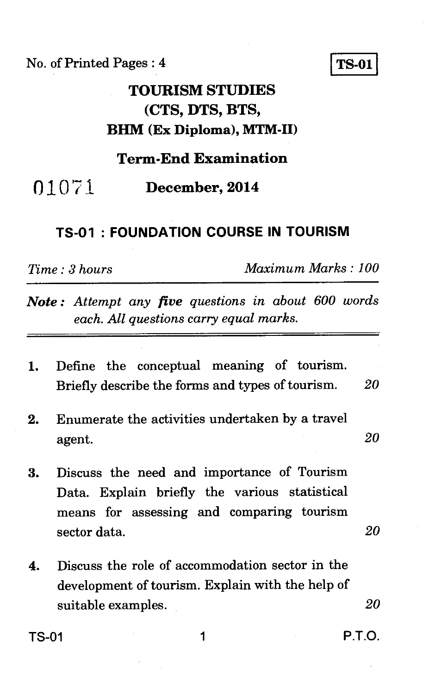No. of Printed Pages : 4 **TS-01** 

# **TOURISM STUDIES (CTS, DTS, BTS, BHM (Ex Diploma), MTM-II)**

### **Term-End Examination**

01071 **December, 2014** 

#### **TS-01 : FOUNDATION COURSE IN TOURISM**

*Time : 3 hours Maximum Marks : 100* 

*Note : Attempt any five questions in about 600 words each. All questions carry equal marks.* 

|  | 1. Define the conceptual meaning of tourism.     |  |    |
|--|--------------------------------------------------|--|----|
|  | Briefly describe the forms and types of tourism. |  | 20 |

- 2. Enumerate the activities undertaken by a travel agent. *20*
- 3. Discuss the need and importance of Tourism Data. Explain briefly the various statistical means for assessing and comparing tourism sector data. 20
- 4. Discuss the role of accommodation sector in the development of tourism. Explain with the help of suitable examples. *20*

 $TS-01$  1 P.T.O.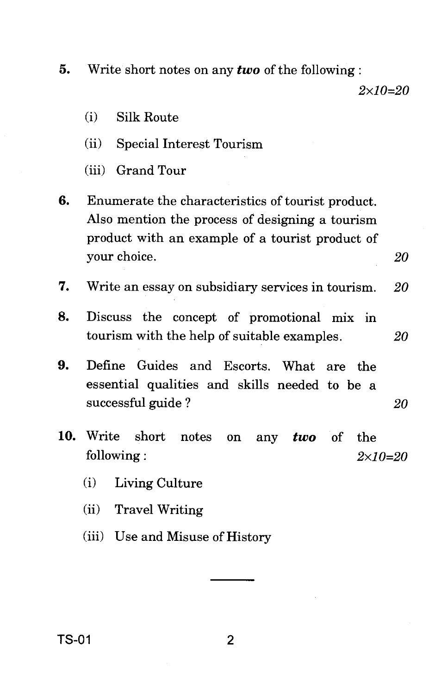**5.** Write short notes on any *two* of the following :

 $2 \times 10 = 20$ 

- (i) Silk Route
- (ii) Special Interest Tourism
- (iii) Grand Tour
- **6.** Enumerate the characteristics of tourist product. Also mention the process of designing a tourism product with an example of a tourist product of your choice. 20
- 7. Write an essay on subsidiary services in tourism.  $20$
- **8.** Discuss the concept of promotional mix in tourism with the help of suitable examples. 20
- **9.** Define Guides and Escorts. What are the essential qualities and skills needed to be a successful guide ? 20
- 10. Write short notes on any *two* of the following :  $2 \times 10 = 20$ 
	- (i) Living Culture
	- (ii) Travel Writing
	- (iii) Use and Misuse of History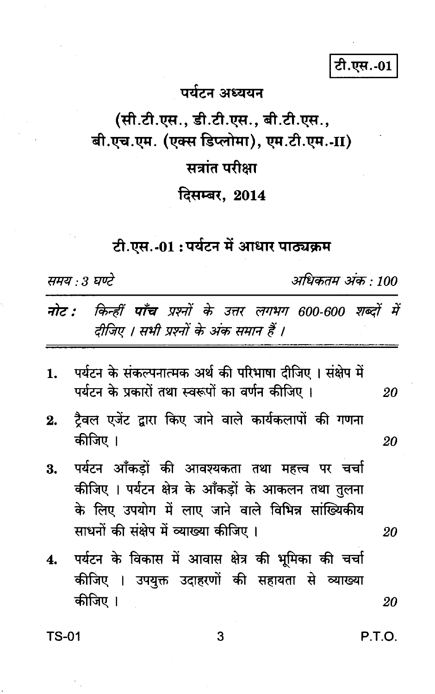टी.एस.-01

## पर्यटन अध्ययन

(सी.टी.एस., डी.टी.एस., बी.टी.एस., बी.एच.एम. (एक्स डिप्लोमा), एम.टी.एम.-II)

## सत्रांत परीक्षा

दिसम्बर, 2014

## टी.एस.-01:पर्यटन में आधार पाठ्यक्रम

समय : 3 घण्टे

अधिकतम अंक : 100

|                                        |  |  |  |  |  | नोट : किन्हीं पाँच प्रश्नों के उत्तर लगभग 600-600 शब्दों में |  |
|----------------------------------------|--|--|--|--|--|--------------------------------------------------------------|--|
| दीजिए । सभी प्रश्नों के अंक समान हैं । |  |  |  |  |  |                                                              |  |

- पर्यटन के संकल्पनात्मक अर्थ की परिभाषा दीजिए । संक्षेप में 1. पर्यटन के प्रकारों तथा स्वरूपों का वर्णन कीजिए । 20
- टैवल एजेंट द्वारा किए जाने वाले कार्यकलापों की गणना  $2.$ कीजिए ।
- पर्यटन आँकडों की आवश्यकता तथा महत्त्व पर चर्चा 3. कीजिए । पर्यटन क्षेत्र के आँकड़ों के आकलन तथा तुलना के लिए उपयोग में लाए जाने वाले विभिन्न सांख्यिकीय साधनों की संक्षेप में व्याख्या कीजिए ।
- पर्यटन के विकास में आवास क्षेत्र की भूमिका की चर्चा  $\boldsymbol{4}$ . कीजिए । उपयुक्त उदाहरणों की सहायता से व्याख्या कीजिए । 20

**TS-01** 

P.T.O.

20

20